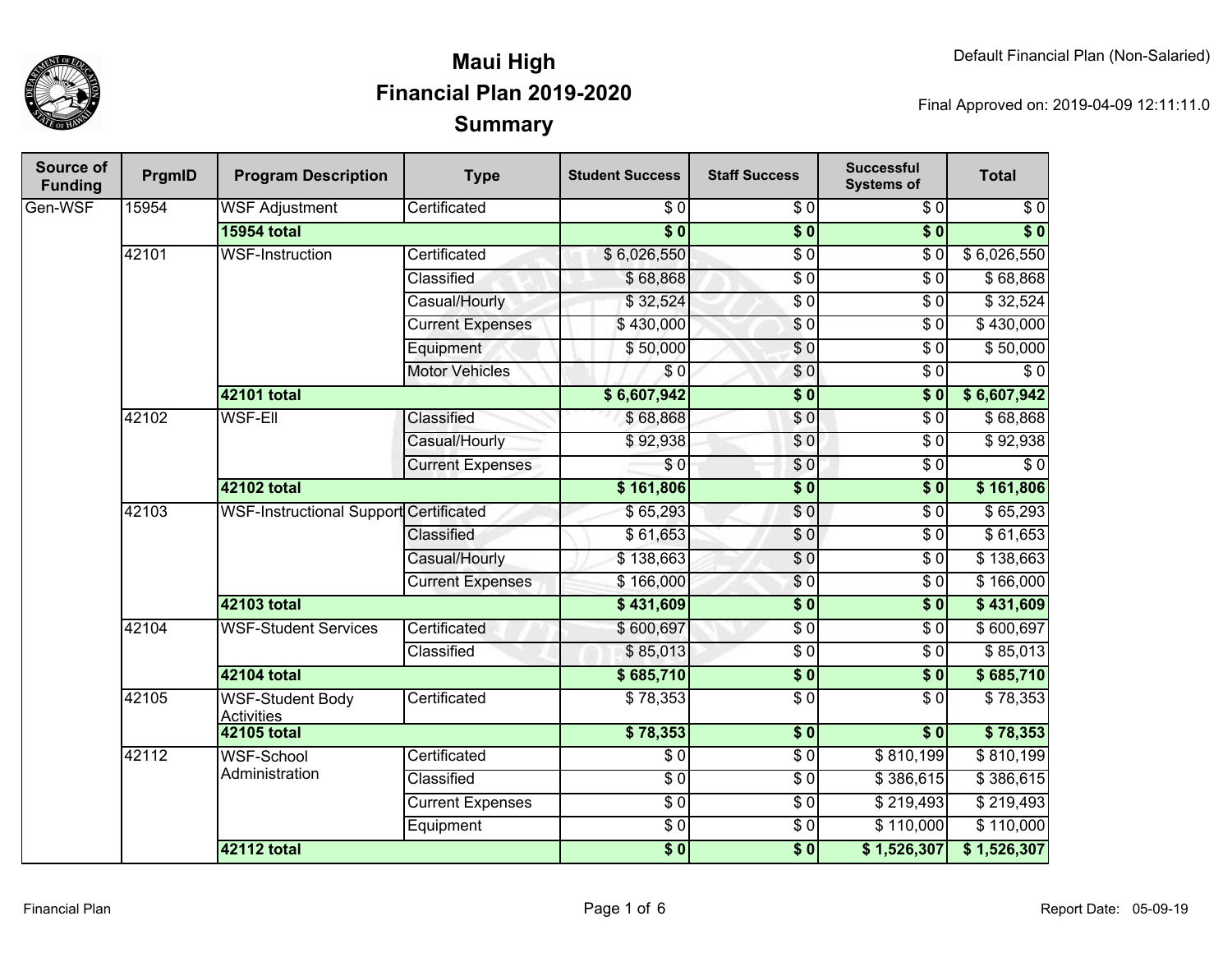

| Source of<br><b>Funding</b> | PrgmID | <b>Program Description</b>                    | <b>Type</b>             | <b>Student Success</b> | <b>Staff Success</b> | <b>Successful</b><br><b>Systems of</b> | <b>Total</b>     |
|-----------------------------|--------|-----------------------------------------------|-------------------------|------------------------|----------------------|----------------------------------------|------------------|
| Gen-WSF                     | 15954  | <b>WSF Adjustment</b>                         | Certificated            | \$0                    | \$0                  | \$0                                    | \$0              |
|                             |        | <b>15954 total</b>                            |                         | $\overline{\bullet}$ 0 | $\overline{\$0}$     | $\overline{\$0}$                       | $\overline{\$0}$ |
|                             | 42101  | <b>WSF-Instruction</b>                        | Certificated            | \$6,026,550            | $\sqrt{6}$           | \$0                                    | \$6,026,550      |
|                             |        |                                               | <b>Classified</b>       | \$68,868               | $\overline{\$0}$     | $\sqrt{6}$                             | \$68,868         |
|                             |        |                                               | Casual/Hourly           | \$32,524               | $\sqrt{6}$           | \$0                                    | \$32,524         |
|                             |        |                                               | <b>Current Expenses</b> | \$430,000              | $\sqrt{6}$           | $\overline{S}0$                        | \$430,000        |
|                             |        |                                               | Equipment               | \$50,000               | \$0                  | $\sqrt{6}$                             | \$50,000         |
|                             |        |                                               | <b>Motor Vehicles</b>   | \$0                    | $\overline{\$0}$     | $\overline{30}$                        | $\overline{S}0$  |
|                             |        | 42101 total                                   |                         | \$6,607,942            | $\overline{\$0}$     | $\overline{\$0}$                       | \$6,607,942      |
|                             | 42102  | <b>WSF-Ell</b>                                | Classified              | \$68,868               | \$0                  | $\overline{\$0}$                       | \$68,868         |
|                             |        |                                               | Casual/Hourly           | \$92,938               | \$0                  | $\sqrt{6}$                             | \$92,938         |
|                             |        |                                               | <b>Current Expenses</b> | $\sqrt{6}$             | \$0                  | $\overline{30}$                        | $\sqrt{6}$       |
|                             |        | 42102 total                                   |                         | \$161,806              | $\overline{\$0}$     | $\overline{\$0}$                       | \$161,806        |
|                             | 42103  | <b>WSF-Instructional Support Certificated</b> |                         | \$65,293               | $\overline{0}$       | $\overline{30}$                        | \$65,293         |
|                             |        |                                               | Classified              | \$61,653               | \$0                  | $\overline{\$0}$                       | \$61,653         |
|                             |        |                                               | Casual/Hourly           | \$138,663              | $\sqrt{6}$           | $\overline{30}$                        | \$138,663        |
|                             |        |                                               | <b>Current Expenses</b> | \$166,000              | $\overline{\$0}$     | $\overline{\$0}$                       | \$166,000        |
|                             |        | 42103 total                                   |                         | \$431,609              | $\overline{\$0}$     | $\overline{\$0}$                       | \$431,609        |
|                             | 42104  | <b>WSF-Student Services</b>                   | Certificated            | \$600,697              | $\overline{\$0}$     | $\sqrt{6}$                             | \$600,697        |
|                             |        |                                               | Classified              | \$85,013               | $\sqrt{6}$           | \$0                                    | \$85,013         |
|                             |        | 42104 total                                   |                         | \$685,710              | $\overline{\$0}$     | $\overline{\$0}$                       | \$685,710        |
|                             | 42105  | WSF-Student Body<br><b>Activities</b>         | Certificated            | \$78,353               | $\overline{\$0}$     | $\overline{\$0}$                       | \$78,353         |
|                             |        | 42105 total                                   |                         | \$78,353               | $\overline{\$0}$     | $\overline{\$0}$                       | \$78,353         |
|                             | 42112  | <b>WSF-School</b><br>Administration           | Certificated            | $\overline{\$0}$       | $\overline{\$0}$     | \$810,199                              | \$810,199        |
|                             |        |                                               | Classified              | $\overline{\$0}$       | $\overline{\$0}$     | \$386,615                              | \$386,615        |
|                             |        |                                               | <b>Current Expenses</b> | $\overline{\$0}$       | $\overline{\$0}$     | \$219,493                              | \$219,493        |
|                             |        |                                               | Equipment               | $\overline{\$0}$       | $\overline{\$0}$     | \$110,000                              | \$110,000        |
|                             |        | <b>42112 total</b>                            |                         | $\frac{1}{2}$          | $\overline{\$0}$     | \$1,526,307                            | \$1,526,307      |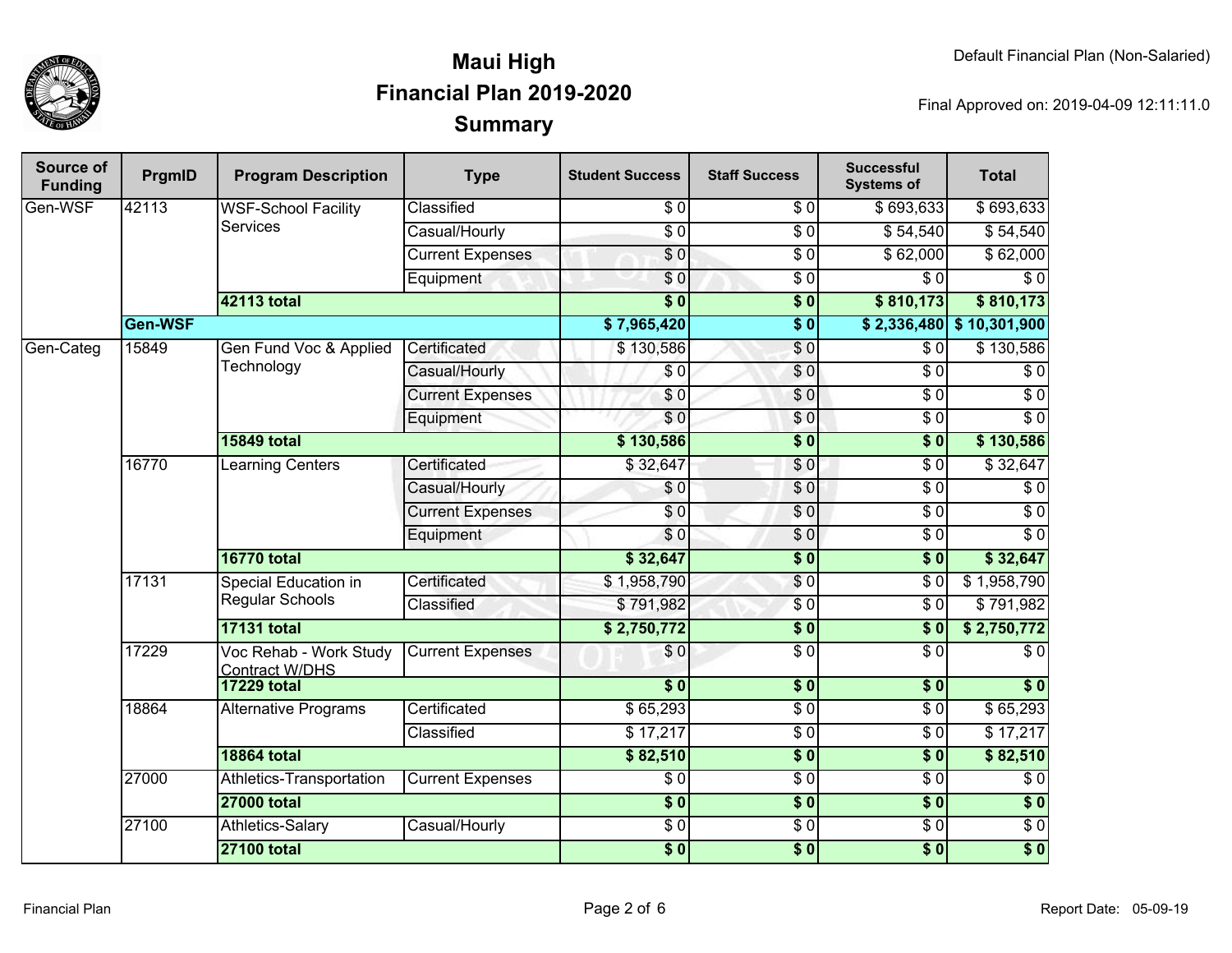

| Source of<br><b>Funding</b> | PrgmID  | <b>Program Description</b>                      | <b>Type</b>             | <b>Student Success</b> | <b>Staff Success</b> | <b>Successful</b><br><b>Systems of</b> | <b>Total</b>               |
|-----------------------------|---------|-------------------------------------------------|-------------------------|------------------------|----------------------|----------------------------------------|----------------------------|
| Gen-WSF                     | 42113   | <b>WSF-School Facility</b>                      | Classified              | \$0                    | \$0                  | \$693,633                              | \$693,633                  |
|                             |         | Services                                        | Casual/Hourly           | $\overline{0}$         | $\overline{50}$      | \$54,540                               | \$54,540                   |
|                             |         |                                                 | <b>Current Expenses</b> | $\overline{\$0}$       | $\overline{S}0$      | \$62,000                               | \$62,000                   |
|                             |         |                                                 | Equipment               | \$0                    | $\overline{\$0}$     | \$0                                    | $\overline{\$0}$           |
|                             |         | <b>42113 total</b>                              |                         | $\overline{\$0}$       | $\overline{\$0}$     | \$810,173                              | \$810,173                  |
|                             | Gen-WSF |                                                 |                         | \$7,965,420            | $\overline{\$0}$     |                                        | $$2,336,480$ $$10,301,900$ |
| Gen-Categ                   | 15849   | Gen Fund Voc & Applied                          | Certificated            | \$130,586              | $\sqrt{0}$           | $\overline{\$0}$                       | \$130,586                  |
|                             |         | Technology                                      | Casual/Hourly           | \$0                    | $\overline{S}0$      | $\overline{30}$                        | $\overline{30}$            |
|                             |         |                                                 | <b>Current Expenses</b> | \$0                    | \$0                  | $\overline{\$0}$                       | $\overline{30}$            |
|                             |         |                                                 | Equipment               | \$0                    | $\overline{S}0$      | $\overline{30}$                        | $\overline{60}$            |
|                             |         | <b>15849 total</b>                              |                         | \$130,586              | $\overline{\$0}$     | $\overline{\$0}$                       | \$130,586                  |
|                             | 16770   | Learning Centers                                | Certificated            | \$32,647               | \$0                  | $\sqrt{6}$                             | \$32,647                   |
|                             |         |                                                 | Casual/Hourly           | \$0                    | $\overline{\$0}$     | $\overline{30}$                        | $\overline{\$0}$           |
|                             |         |                                                 | <b>Current Expenses</b> | \$0                    | $\overline{S}$       | $\sqrt{6}$                             | $\overline{\$0}$           |
|                             |         |                                                 | Equipment               | \$0                    | $\sqrt{6}$           | $\overline{30}$                        | $\overline{60}$            |
|                             |         | <b>16770 total</b>                              |                         | \$32,647               | $\overline{\$0}$     | $\overline{\$0}$                       | \$32,647                   |
|                             | 17131   | <b>Special Education in</b>                     | Certificated            | \$1,958,790            | \$0                  | $\sqrt{6}$                             | \$1,958,790                |
|                             |         | Regular Schools                                 | Classified              | \$791,982              | $\overline{S}0$      | $\overline{30}$                        | \$791,982                  |
|                             |         | <b>17131 total</b>                              |                         | \$2,750,772            | $\overline{\$0}$     | $\overline{\$0}$                       | \$2,750,772                |
|                             | 17229   | Voc Rehab - Work Study<br><b>Contract W/DHS</b> | <b>Current Expenses</b> | \$0                    | $\overline{\$0}$     | $\overline{\$0}$                       | $\overline{S}$             |
|                             |         | <b>17229 total</b>                              |                         | $\overline{\$0}$       | $\overline{\$0}$     | $\overline{\$0}$                       | $\overline{\$0}$           |
|                             | 18864   | <b>Alternative Programs</b>                     | Certificated            | \$65,293               | $\overline{\$0}$     | $\overline{\$0}$                       | \$65,293                   |
|                             |         |                                                 | Classified              | \$17,217               | $\overline{\$0}$     | $\overline{\$0}$                       | \$17,217                   |
|                             |         | <b>18864 total</b>                              |                         | \$82,510               | $\overline{\$0}$     | $\overline{\$}0$                       | \$82,510                   |
|                             | 27000   | Athletics-Transportation                        | <b>Current Expenses</b> | $\overline{\$0}$       | $\overline{\$0}$     | $\overline{\$0}$                       | $\overline{\$0}$           |
|                             |         | <b>27000 total</b>                              |                         | $\overline{\$0}$       | $\overline{\$0}$     | $\overline{\$}0$                       | $\sqrt{6}$                 |
|                             | 27100   | Athletics-Salary                                | Casual/Hourly           | $\overline{\$0}$       | $\overline{\$0}$     | $\overline{\$0}$                       | $\overline{30}$            |
|                             |         | <b>27100 total</b>                              |                         | $\frac{1}{6}$          | s <sub>0</sub>       | $\overline{\$0}$                       | $\overline{\$0}$           |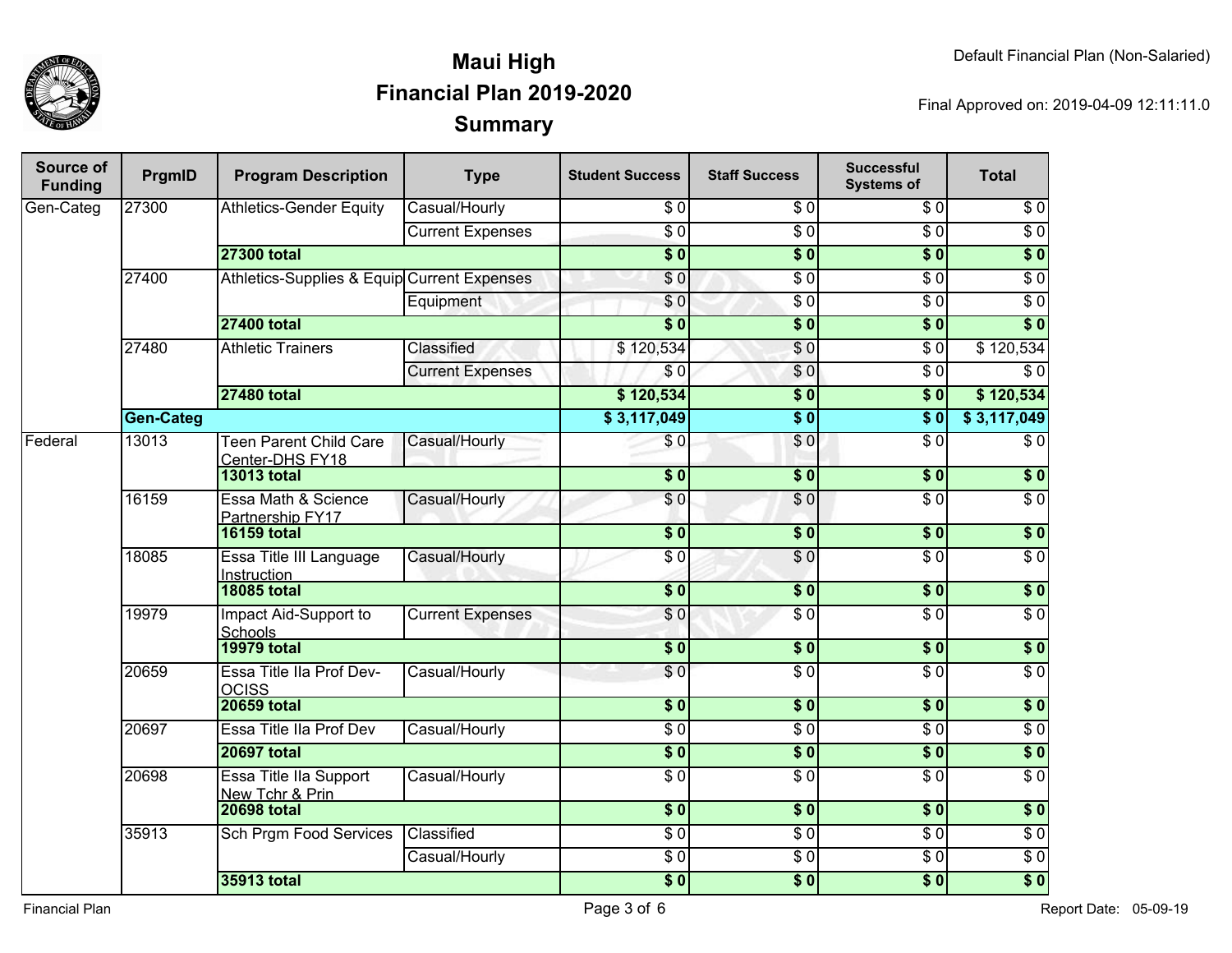

| Source of<br><b>Funding</b> | PrgmID           | <b>Program Description</b>                       | <b>Type</b>             | <b>Student Success</b>     | <b>Staff Success</b> | <b>Successful</b><br><b>Systems of</b> | <b>Total</b>     |
|-----------------------------|------------------|--------------------------------------------------|-------------------------|----------------------------|----------------------|----------------------------------------|------------------|
| Gen-Categ                   | 27300            | <b>Athletics-Gender Equity</b>                   | Casual/Hourly           | \$0                        | \$0                  | \$0                                    | $\sqrt{6}$       |
|                             |                  |                                                  | <b>Current Expenses</b> | $\overline{50}$            | $\overline{50}$      | $\overline{S}0$                        | $\overline{\$0}$ |
|                             |                  | <b>27300 total</b>                               |                         | $\overline{\$}0$           | $\overline{\$0}$     | $\overline{\$0}$                       | $\overline{\$0}$ |
|                             | 27400            | Athletics-Supplies & Equip Current Expenses      |                         | $\sqrt{6}$                 | $\overline{30}$      | $\overline{\$0}$                       | $\overline{60}$  |
|                             |                  |                                                  | Equipment               | \$0                        | $\overline{30}$      | $\overline{\$0}$                       | $\overline{\$0}$ |
|                             |                  | <b>27400 total</b>                               |                         | $\overline{\$0}$           | $\overline{\$0}$     | $\overline{\$0}$                       | $\overline{\$0}$ |
|                             | 27480            | <b>Athletic Trainers</b>                         | <b>Classified</b>       | \$120,534                  | $\sqrt{6}$           | $\overline{\$0}$                       | \$120,534        |
|                             |                  |                                                  | <b>Current Expenses</b> | \$0                        | $\overline{\$0}$     | $\overline{\$0}$                       | $\overline{\$0}$ |
|                             |                  | <b>27480 total</b>                               |                         | \$120,534                  | $\overline{\$0}$     | $\overline{\$0}$                       | \$120,534        |
|                             | <b>Gen-Categ</b> |                                                  |                         | \$3,117,049                | $\overline{\$0}$     | $\overline{\$0}$                       | \$3,117,049      |
| Federal                     | 13013            | <b>Teen Parent Child Care</b><br>Center-DHS FY18 | Casual/Hourly           | \$0                        | $\overline{S}0$      | $\sqrt{6}$                             | $\overline{\$0}$ |
|                             |                  | <b>13013 total</b>                               |                         | $\overline{\$0}$           | \$0                  | \$0                                    | $\sqrt{6}$       |
|                             | 16159            | Essa Math & Science<br>Partnership FY17          | Casual/Hourly           | $\overline{\$0}$           | $\overline{\$0}$     | $\overline{\$0}$                       | $\overline{\$0}$ |
|                             |                  | <b>16159 total</b>                               |                         | $\overline{\$0}$           | $\sqrt{6}$           | \$0                                    | \$0              |
|                             | 18085            | Essa Title III Language<br>Instruction           | Casual/Hourly           | $\overline{50}$            | $\overline{\$0}$     | $\overline{S}0$                        | $\sqrt{6}$       |
|                             |                  | <b>18085 total</b>                               |                         | $\overline{\$0}$           | $\overline{\$0}$     | $\overline{\$0}$                       | $\overline{\$0}$ |
|                             | 19979            | Impact Aid-Support to<br>Schools                 | <b>Current Expenses</b> | \$0                        | $\overline{S}0$      | $\overline{S}0$                        | $\overline{\$0}$ |
|                             |                  | <b>19979 total</b>                               |                         | $\overline{\$0}$           | $\overline{\$0}$     | $\overline{\$0}$                       | $\overline{\$0}$ |
|                             | 20659            | Essa Title IIa Prof Dev-<br><b>OCISS</b>         | Casual/Hourly           | $\overline{S}0$            | $\overline{\$0}$     | $\overline{\$0}$                       | $\overline{\$0}$ |
|                             |                  | <b>20659 total</b>                               |                         | $\overline{\$0}$           | $\overline{\$0}$     | $\overline{\$0}$                       | \$0              |
|                             | 20697            | Essa Title IIa Prof Dev                          | Casual/Hourly           | $\overline{30}$            | $\sqrt{6}$           | $\sqrt{6}$                             | $\sqrt{6}$       |
|                             |                  | <b>20697 total</b>                               |                         | $\overline{\$0}$           | $\overline{\$0}$     | $\overline{\$0}$                       | \$0              |
|                             | 20698            | Essa Title IIa Support<br>New Tchr & Prin        | Casual/Hourly           | $\overline{S}0$            | $\overline{60}$      | $\sqrt{6}$                             | $\sqrt{6}$       |
|                             |                  | <b>20698 total</b>                               |                         | $\overline{\$0}$           | $\overline{\$0}$     | $\overline{\$0}$                       | $\overline{\$0}$ |
|                             | 35913            | <b>Sch Prgm Food Services</b>                    | Classified              | $\overline{50}$            | $\overline{50}$      | $\overline{30}$                        | $\overline{60}$  |
|                             |                  |                                                  | Casual/Hourly           | $\overline{60}$            | $\overline{\$0}$     | $\overline{S}0$                        | $\overline{\$0}$ |
|                             |                  | <b>35913 total</b>                               |                         | $\overline{\phantom{0}50}$ | $\overline{\$0}$     | $\overline{\$0}$                       | $\overline{\$0}$ |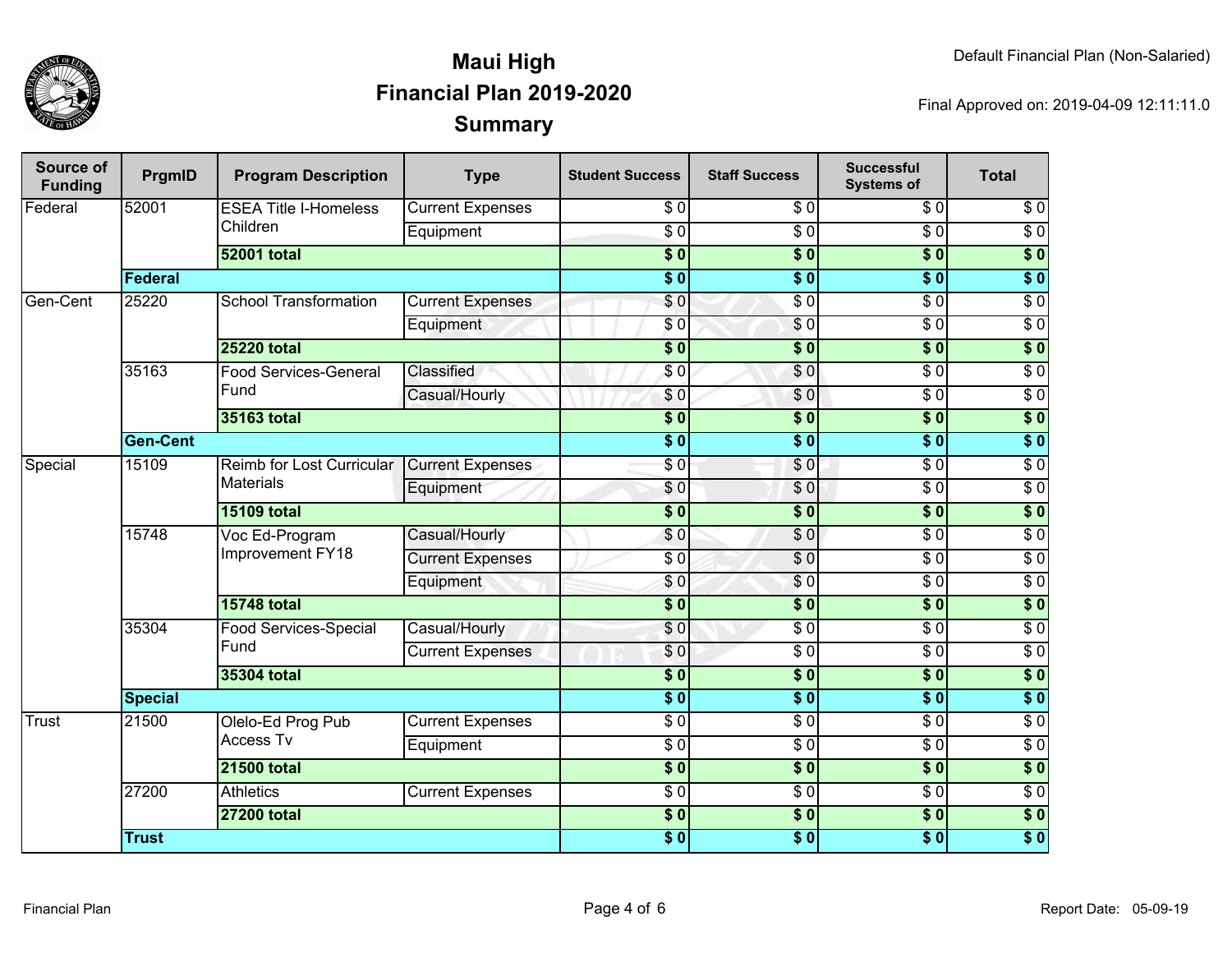

| Source of<br><b>Funding</b> | PrgmID          | <b>Program Description</b>                    | <b>Type</b>             | <b>Student Success</b>     | <b>Staff Success</b> | <b>Successful</b><br><b>Systems of</b> | <b>Total</b>     |
|-----------------------------|-----------------|-----------------------------------------------|-------------------------|----------------------------|----------------------|----------------------------------------|------------------|
| Federal                     | 52001           | <b>ESEA Title I-Homeless</b>                  | <b>Current Expenses</b> | \$0                        | \$0                  | $\overline{\$0}$                       | $\sqrt{6}$       |
|                             |                 | Children                                      | Equipment               | $\sqrt{6}$                 | $\overline{S}0$      | $\overline{\$0}$                       | $\overline{\$0}$ |
|                             |                 | <b>52001 total</b>                            |                         | $\overline{\$0}$           | $\overline{\$0}$     | $\overline{\$0}$                       | $\overline{\$0}$ |
|                             | Federal         |                                               |                         | $\overline{\phantom{0}50}$ | $\overline{\$0}$     | $\overline{\$0}$                       | $\overline{\$0}$ |
| Gen-Cent                    | 25220           | <b>School Transformation</b>                  | <b>Current Expenses</b> | \$0                        | $\overline{S}0$      | $\overline{30}$                        | $\overline{30}$  |
|                             |                 |                                               | Equipment               | $\frac{6}{3}$              | $\sqrt{6}$           | $\sqrt{6}$                             | $\overline{30}$  |
|                             |                 | <b>25220 total</b>                            |                         | $\overline{\$0}$           | $\overline{\$0}$     | $\overline{\$0}$                       | $\overline{\$0}$ |
|                             | 35163           | <b>Food Services-General</b>                  | Classified              | $\overline{\$0}$           | \$0                  | $\overline{\$0}$                       | $\overline{60}$  |
|                             |                 | Fund                                          | Casual/Hourly           | \$0                        | \$0                  | $\overline{\$0}$                       | $\overline{60}$  |
|                             |                 | 35163 total                                   |                         | $\overline{\phantom{0}50}$ | $\overline{\$0}$     | $\overline{\$0}$                       | $\overline{\$0}$ |
|                             | <b>Gen-Cent</b> |                                               |                         | $\overline{\phantom{0}3}$  | $\overline{\$0}$     | $\overline{\$0}$                       | $\overline{\$0}$ |
| Special                     | 15109           | Reimb for Lost Curricular<br><b>Materials</b> | <b>Current Expenses</b> | $\overline{\$0}$           | \$0                  | $\overline{30}$                        | $\overline{30}$  |
|                             |                 |                                               | Equipment               | \$0                        | $\overline{\$0}$     | $\sqrt{6}$                             | $\sqrt{6}$       |
|                             |                 | <b>15109 total</b>                            |                         | $\overline{\bullet}$ 0     | $\overline{\$0}$     | $\overline{\$0}$                       | $\overline{\$0}$ |
|                             | 15748           | Voc Ed-Program<br>Improvement FY18            | Casual/Hourly           | \$0                        | \$0                  | $\overline{\$0}$                       | $\overline{\$0}$ |
|                             |                 |                                               | <b>Current Expenses</b> | $\overline{\frac{1}{6}}$   | $\overline{\$0}$     | $\overline{\$0}$                       | $\overline{30}$  |
|                             |                 |                                               | Equipment               | \$0                        | \$0                  | $\sqrt{6}$                             | $\overline{30}$  |
|                             |                 | <b>15748 total</b>                            |                         | $\overline{\phantom{0}50}$ | $\overline{\$0}$     | $\overline{\$0}$                       | $\overline{\$0}$ |
|                             | 35304           | Food Services-Special                         | Casual/Hourly           | $\overline{\$}$ 0          | $\overline{S}0$      | $\overline{\$0}$                       | $\overline{30}$  |
|                             |                 | Fund                                          | <b>Current Expenses</b> | \$0                        | $\overline{\$0}$     | $\sqrt{6}$                             | $\overline{30}$  |
|                             |                 | 35304 total                                   |                         | $\overline{\$0}$           | $\overline{\bullet}$ | $\overline{\$0}$                       | $\overline{\$0}$ |
|                             | <b>Special</b>  |                                               | $\overline{\$0}$        | $\overline{\bullet}$       | $\overline{\$0}$     | $\overline{\$0}$                       |                  |
| Trust                       | 21500           | Olelo-Ed Prog Pub<br><b>Access Tv</b>         | <b>Current Expenses</b> | $\sqrt{6}$                 | $\overline{S}0$      | $\overline{\$0}$                       | $\overline{50}$  |
|                             |                 |                                               | Equipment               | $\overline{\$0}$           | $\overline{S}0$      | $\overline{\$0}$                       | $\overline{60}$  |
|                             |                 | <b>21500 total</b>                            |                         | $\overline{\$0}$           | $\overline{\$0}$     | $\overline{\$0}$                       | $\overline{\$0}$ |
|                             | 27200           | <b>Athletics</b>                              | <b>Current Expenses</b> | $\sqrt{6}$                 | $\overline{S}0$      | $\overline{\$0}$                       | $\overline{30}$  |
|                             |                 | <b>27200 total</b>                            |                         | $\overline{\$0}$           | $\overline{\$0}$     | $\overline{\$0}$                       | $\overline{\$0}$ |
|                             | <b>Trust</b>    |                                               |                         | $\overline{\$0}$           | $\overline{\bullet}$ | $\overline{\$0}$                       | $\overline{\$0}$ |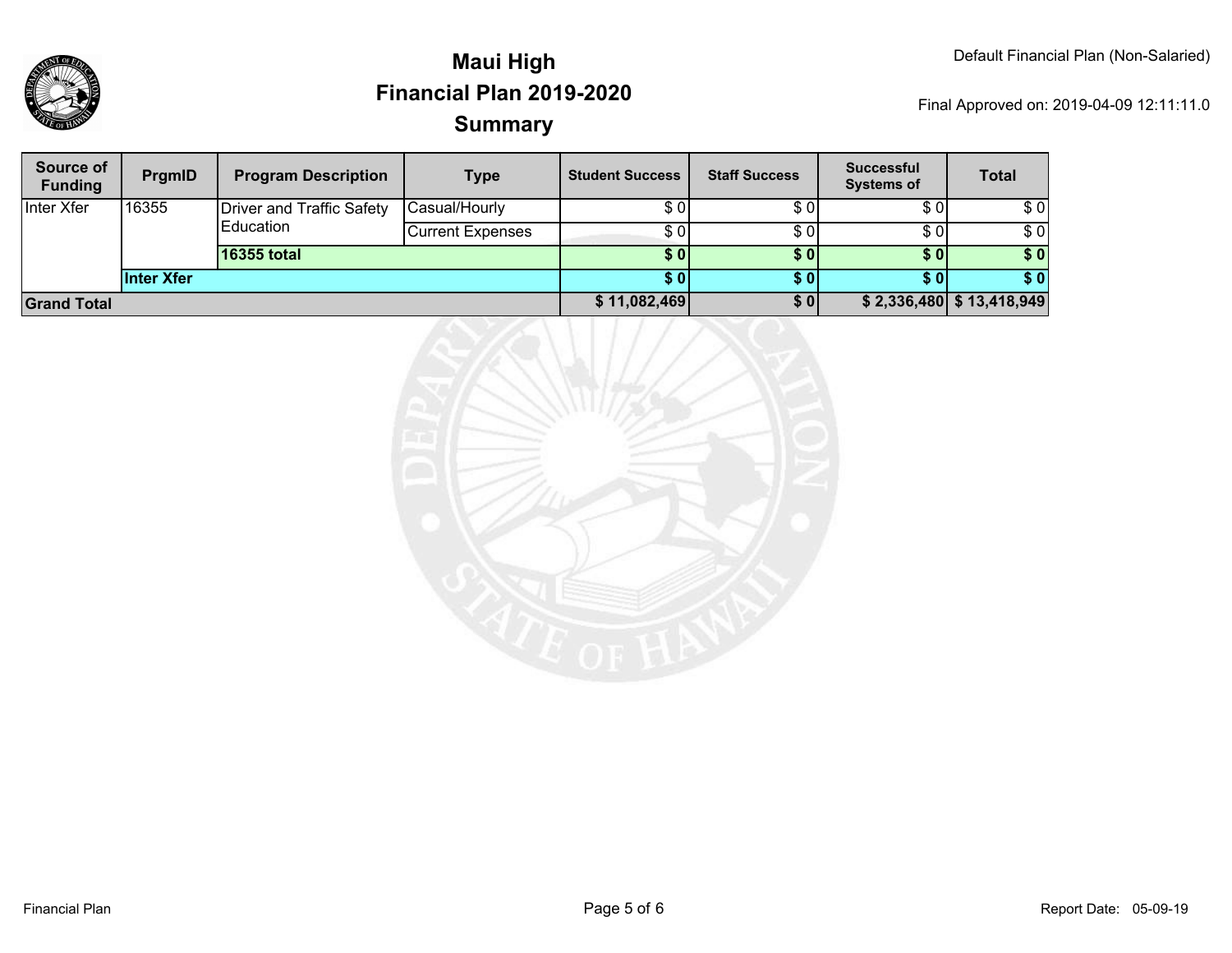

| Source of<br><b>Funding</b> | <b>PrgmID</b>     | <b>Program Description</b>                            | <b>Type</b>             | <b>Student Success</b> | <b>Staff Success</b> | <b>Successful</b><br><b>Systems of</b> | <b>Total</b>               |
|-----------------------------|-------------------|-------------------------------------------------------|-------------------------|------------------------|----------------------|----------------------------------------|----------------------------|
| Inter Xfer                  | 16355             | <b>Driver and Traffic Safety</b><br><b>IEducation</b> | Casual/Hourly           | \$ 01                  | \$0                  | \$0                                    | \$0                        |
|                             |                   |                                                       | <b>Current Expenses</b> | \$ 01                  | \$0                  | \$0                                    | \$0                        |
|                             |                   | 16355 total                                           |                         | \$0                    | \$0                  | \$0                                    | \$0                        |
|                             | <b>Inter Xfer</b> |                                                       |                         | S 0 I                  | <b>SO</b>            | S OI                                   | \$0                        |
| <b>Grand Total</b>          |                   |                                                       |                         | \$11,082,469           | \$0                  |                                        | $$2,336,480$ $$13,418,949$ |